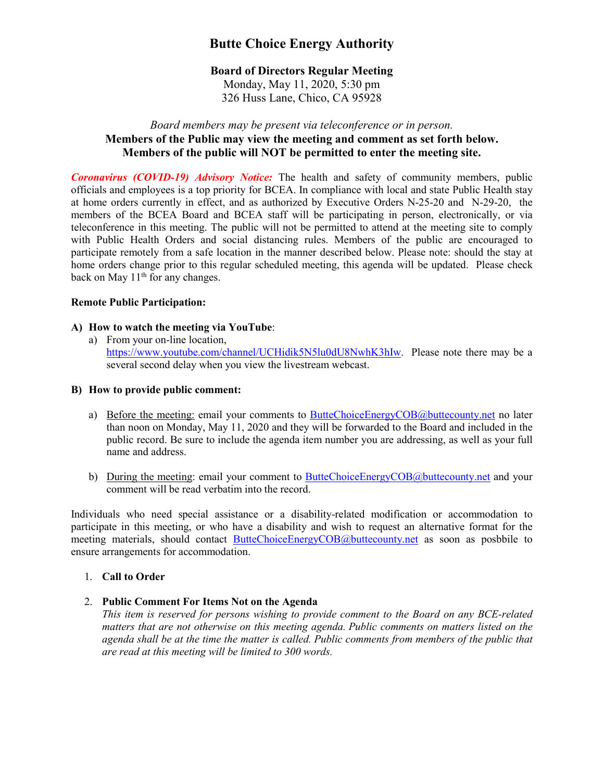# **Butte Choice Energy Authority**

# **Board of Directors Regular Meeting**

Monday, May 11, 2020, 5:30 pm 326 Huss Lane, Chico, CA 95928

# *Board members may be present via teleconference or in person.* **Members of the Public may view the meeting and comment as set forth below. Members of the public will NOT be permitted to enter the meeting site.**

*Coronavirus (COVID-19) Advisory Notice:* The health and safety of community members, public officials and employees is a top priority for BCEA. In compliance with local and state Public Health stay at home orders currently in effect, and as authorized by Executive Orders N-25-20 and N-29-20, the members of the BCEA Board and BCEA staff will be participating in person, electronically, or via teleconference in this meeting. The public will not be permitted to attend at the meeting site to comply with Public Health Orders and social distancing rules. Members of the public are encouraged to participate remotely from a safe location in the manner described below. Please note: should the stay at home orders change prior to this regular scheduled meeting, this agenda will be updated. Please check back on May  $11<sup>th</sup>$  for any changes.

## **Remote Public Participation:**

# **A) How to watch the meeting via YouTube**:

a) From your on-line location, [https://www.youtube.com/channel/UCHidik5N5lu0dU8NwhK3hIw.](https://www.youtube.com/channel/UCHidik5N5lu0dU8NwhK3hIw) Please note there may be a several second delay when you view the livestream webcast.

## **B) How to provide public comment:**

- a) Before the meeting: email your comments to [ButteChoiceEnergyCOB@buttecounty.net](mailto:ButteChoiceEnergyCOB@buttecounty.net) no later than noon on Monday, May 11, 2020 and they will be forwarded to the Board and included in the public record. Be sure to include the agenda item number you are addressing, as well as your full name and address.
- b) During the meeting: email your comment to **ButteChoiceEnergyCOB**@buttecounty.net and your comment will be read verbatim into the record.

Individuals who need special assistance or a disability-related modification or accommodation to participate in this meeting, or who have a disability and wish to request an alternative format for the meeting materials, should contact [ButteChoiceEnergyCOB@buttecounty.net](mailto:ButteChoiceEnergyCOB@buttecounty.net) as soon as posbbile to ensure arrangements for accommodation.

# 1. **Call to Order**

2. **Public Comment For Items Not on the Agenda**

*This item is reserved for persons wishing to provide comment to the Board on any BCE-related matters that are not otherwise on this meeting agenda. Public comments on matters listed on the agenda shall be at the time the matter is called. Public comments from members of the public that are read at this meeting will be limited to 300 words.*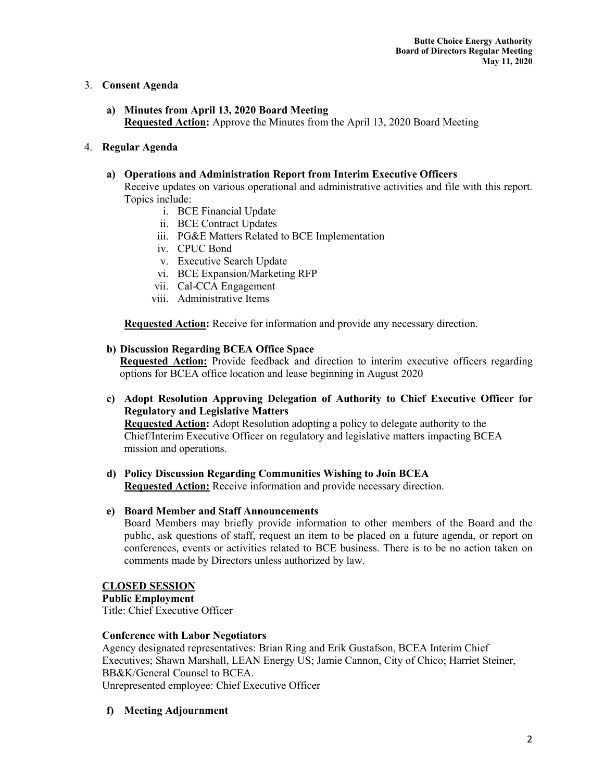# 3. **Consent Agenda**

**a) Minutes from April 13, 2020 Board Meeting Requested Action:** Approve the Minutes from the April 13, 2020 Board Meeting

## 4. **Regular Agenda**

## **a) Operations and Administration Report from Interim Executive Officers**

Receive updates on various operational and administrative activities and file with this report. Topics include:

- i. BCE Financial Update
- ii. BCE Contract Updates
- iii. PG&E Matters Related to BCE Implementation
- iv. CPUC Bond
- v. Executive Search Update
- vi. BCE Expansion/Marketing RFP
- vii. Cal-CCA Engagement
- viii. Administrative Items

**Requested Action:** Receive for information and provide any necessary direction.

## **b) Discussion Regarding BCEA Office Space**

**Requested Action:** Provide feedback and direction to interim executive officers regarding options for BCEA office location and lease beginning in August 2020

## **c) Adopt Resolution Approving Delegation of Authority to Chief Executive Officer for Regulatory and Legislative Matters**

**Requested Action:** Adopt Resolution adopting a policy to delegate authority to the Chief/Interim Executive Officer on regulatory and legislative matters impacting BCEA mission and operations.

**d) Policy Discussion Regarding Communities Wishing to Join BCEA Requested Action:** Receive information and provide necessary direction.

## **e) Board Member and Staff Announcements**

Board Members may briefly provide information to other members of the Board and the public, ask questions of staff, request an item to be placed on a future agenda, or report on conferences, events or activities related to BCE business. There is to be no action taken on comments made by Directors unless authorized by law.

## **CLOSED SESSION**

**Public Employment**  Title: Chief Executive Officer

## **Conference with Labor Negotiators**

Agency designated representatives: Brian Ring and Erik Gustafson, BCEA Interim Chief Executives; Shawn Marshall, LEAN Energy US; Jamie Cannon, City of Chico; Harriet Steiner, BB&K/General Counsel to BCEA. Unrepresented employee: Chief Executive Officer

## **f) Meeting Adjournment**